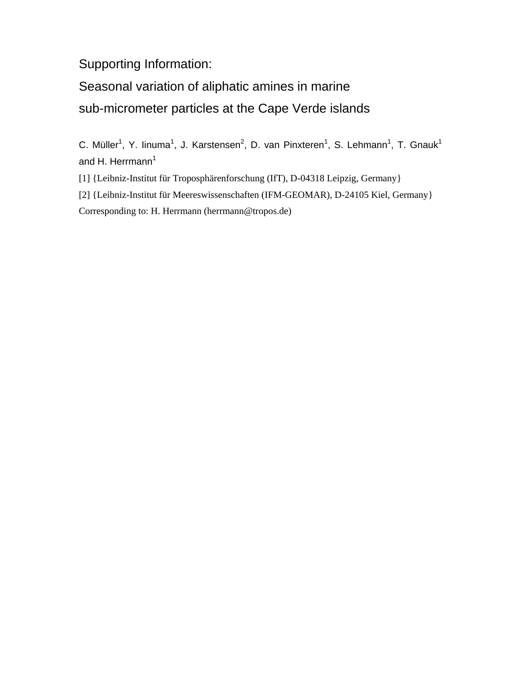Supporting Information:

Seasonal variation of aliphatic amines in marine sub-micrometer particles at the Cape Verde islands

C. Müller<sup>1</sup>, Y. linuma<sup>1</sup>, J. Karstensen<sup>2</sup>, D. van Pinxteren<sup>1</sup>, S. Lehmann<sup>1</sup>, T. Gnauk<sup>1</sup> and H. Herrmann<sup>1</sup>

[1] {Leibniz-Institut für Troposphärenforschung (IfT), D-04318 Leipzig, Germany}

[2] {Leibniz-Institut für Meereswissenschaften (IFM-GEOMAR), D-24105 Kiel, Germany} Corresponding to: H. Herrmann (herrmann@tropos.de)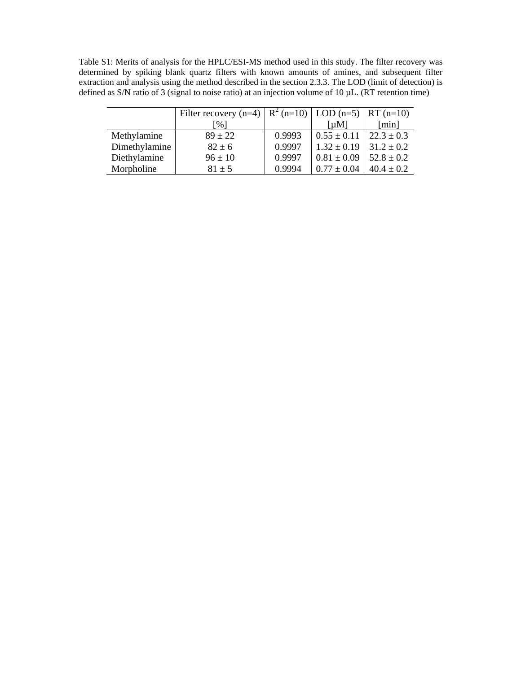Table S1: Merits of analysis for the HPLC/ESI-MS method used in this study. The filter recovery was determined by spiking blank quartz filters with known amounts of amines, and subsequent filter extraction and analysis using the method described in the section 2.3.3. The LOD (limit of detection) is defined as S/N ratio of 3 (signal to noise ratio) at an injection volume of 10 µL. (RT retention time)

|               | Filter recovery (n=4) $\left  R^{2} (n=10) \right $ LOD (n=5) $\left  RT (n=10) \right $ |        |                                |                |
|---------------|------------------------------------------------------------------------------------------|--------|--------------------------------|----------------|
|               | [%]                                                                                      |        | $\lceil \mu M \rceil$          | [min]          |
| Methylamine   | $89 \pm 22$                                                                              | 0.9993 | $0.55 \pm 0.11$                | $22.3 \pm 0.3$ |
| Dimethylamine | $82 \pm 6$                                                                               | 0.9997 | $1.32 \pm 0.19$ 31.2 $\pm$ 0.2 |                |
| Diethylamine  | $96 \pm 10$                                                                              | 0.9997 | $0.81 \pm 0.09$                | $52.8 \pm 0.2$ |
| Morpholine    | $81 \pm 5$                                                                               | 0.9994 | $0.77 \pm 0.04$                | $40.4 \pm 0.2$ |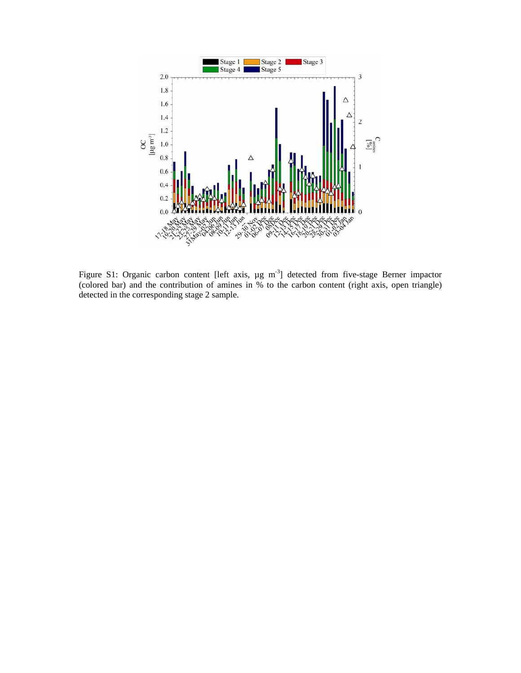

Figure S1: Organic carbon content [left axis,  $\mu$ g m<sup>-3</sup>] detected from five-stage Berner impactor (colored bar) and the contribution of amines in % to the carbon content (right axis, open triangle) detected in the corresponding stage 2 sample.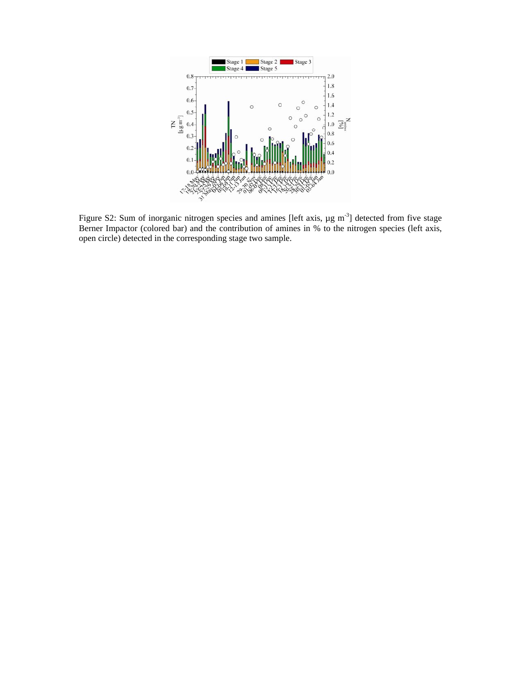

Figure S2: Sum of inorganic nitrogen species and amines [left axis,  $\mu$ g m<sup>-3</sup>] detected from five stage Berner Impactor (colored bar) and the contribution of amines in % to the nitrogen species (left axis, open circle) detected in the corresponding stage two sample.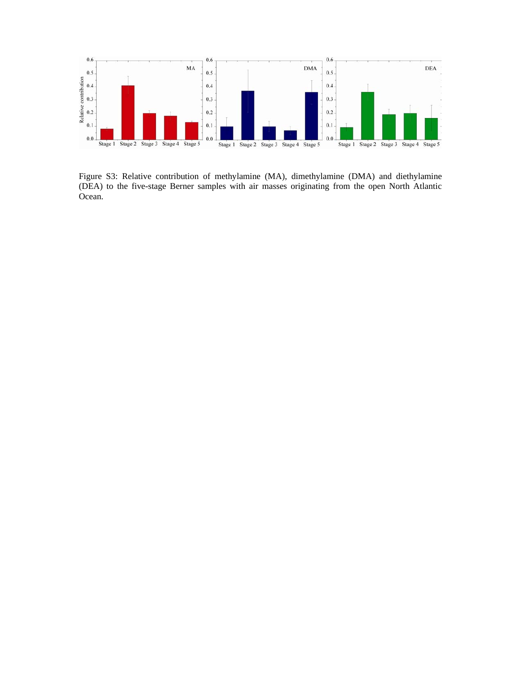

Figure S3: Relative contribution of methylamine (MA), dimethylamine (DMA) and diethylamine (DEA) to the five-stage Berner samples with air masses originating from the open North Atlantic Ocean.